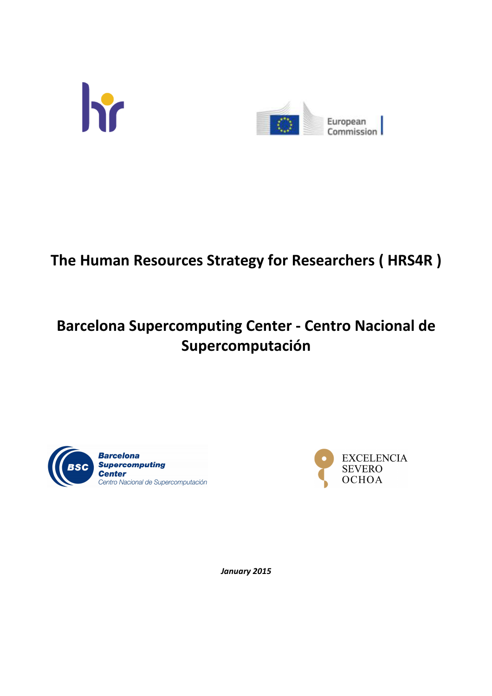



# **The Human Resources Strategy for Researchers ( HRS4R )**

# **Barcelona Supercomputing Center - Centro Nacional de Supercomputación**





*January 2015*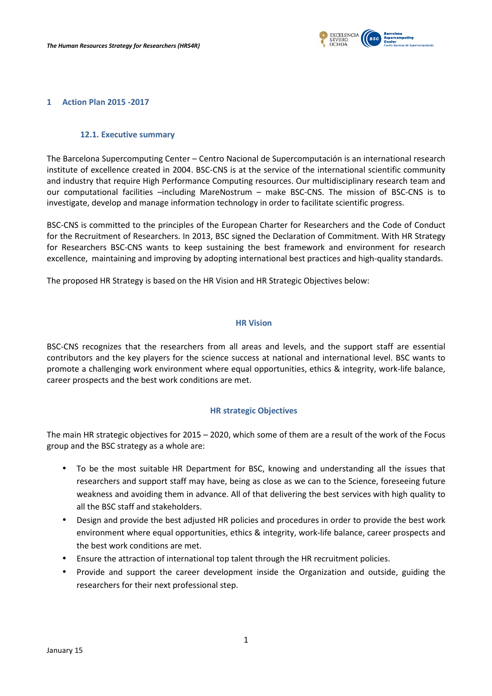

#### **1 Action Plan 2015 -2017**

### **12.1. Executive summary**

The Barcelona Supercomputing Center – Centro Nacional de Supercomputación is an international research institute of excellence created in 2004. BSC-CNS is at the service of the international scientific community and industry that require High Performance Computing resources. Our multidisciplinary research team and our computational facilities –including MareNostrum – make BSC-CNS. The mission of BSC-CNS is to investigate, develop and manage information technology in order to facilitate scientific progress**.**

BSC-CNS is committed to the principles of the European Charter for Researchers and the Code of Conduct for the Recruitment of Researchers. In 2013, BSC signed the Declaration of Commitment. With HR Strategy for Researchers BSC-CNS wants to keep sustaining the best framework and environment for research excellence, maintaining and improving by adopting international best practices and high-quality standards.

The proposed HR Strategy is based on the HR Vision and HR Strategic Objectives below:

#### **HR Vision**

BSC-CNS recognizes that the researchers from all areas and levels, and the support staff are essential contributors and the key players for the science success at national and international level. BSC wants to promote a challenging work environment where equal opportunities, ethics & integrity, work-life balance, career prospects and the best work conditions are met.

## **HR strategic Objectives**

The main HR strategic objectives for 2015 – 2020, which some of them are a result of the work of the Focus group and the BSC strategy as a whole are:

- To be the most suitable HR Department for BSC, knowing and understanding all the issues that researchers and support staff may have, being as close as we can to the Science, foreseeing future weakness and avoiding them in advance. All of that delivering the best services with high quality to all the BSC staff and stakeholders.
- Design and provide the best adjusted HR policies and procedures in order to provide the best work environment where equal opportunities, ethics & integrity, work-life balance, career prospects and the best work conditions are met.
- Ensure the attraction of international top talent through the HR recruitment policies.
- Provide and support the career development inside the Organization and outside, guiding the researchers for their next professional step.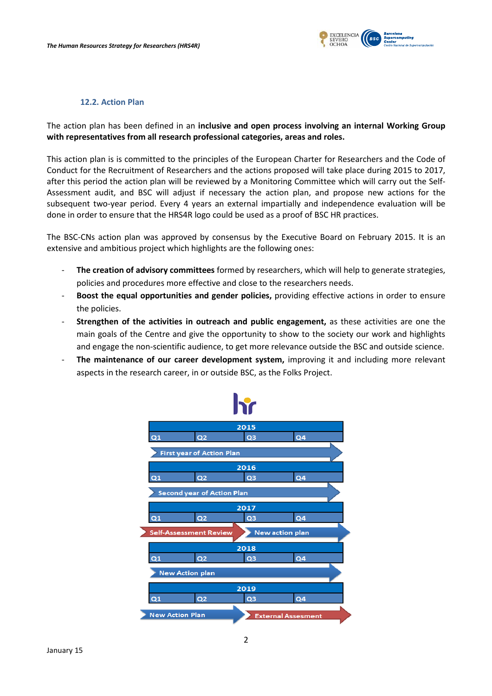

### **12.2. Action Plan**

The action plan has been defined in an **inclusive and open process involving an internal Working Group with representatives from all research professional categories, areas and roles.** 

This action plan is is committed to the principles of the European Charter for Researchers and the Code of Conduct for the Recruitment of Researchers and the actions proposed will take place during 2015 to 2017, after this period the action plan will be reviewed by a Monitoring Committee which will carry out the Self-Assessment audit, and BSC will adjust if necessary the action plan, and propose new actions for the subsequent two-year period. Every 4 years an external impartially and independence evaluation will be done in order to ensure that the HRS4R logo could be used as a proof of BSC HR practices.

The BSC-CNs action plan was approved by consensus by the Executive Board on February 2015. It is an extensive and ambitious project which highlights are the following ones:

- **The creation of advisory committees** formed by researchers, which will help to generate strategies, policies and procedures more effective and close to the researchers needs.
- **Boost the equal opportunities and gender policies,** providing effective actions in order to ensure the policies.
- **Strengthen of the activities in outreach and public engagement,** as these activities are one the main goals of the Centre and give the opportunity to show to the society our work and highlights and engage the non-scientific audience, to get more relevance outside the BSC and outside science.
- The maintenance of our career development system, improving it and including more relevant aspects in the research career, in or outside BSC, as the Folks Project.

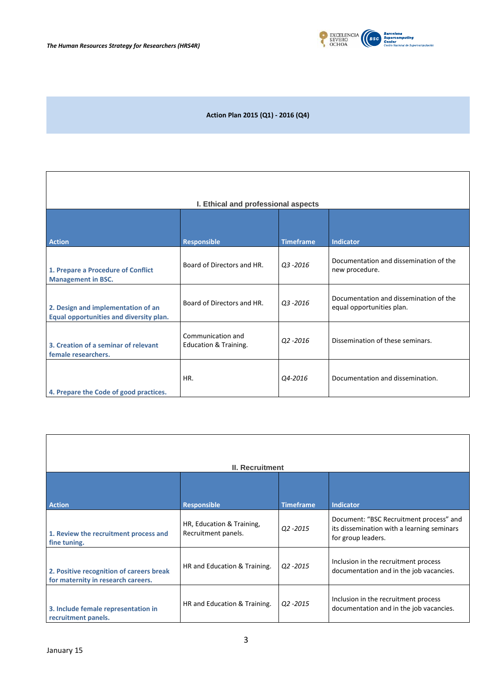

٦

# **Action Plan 2015 (Q1) - 2016 (Q4)**

| I. Ethical and professional aspects                                           |                                            |                  |                                                                     |  |  |  |
|-------------------------------------------------------------------------------|--------------------------------------------|------------------|---------------------------------------------------------------------|--|--|--|
|                                                                               |                                            |                  |                                                                     |  |  |  |
| <b>Action</b>                                                                 | <b>Responsible</b>                         | <b>Timeframe</b> | <b>Indicator</b>                                                    |  |  |  |
| 1. Prepare a Procedure of Conflict<br><b>Management in BSC.</b>               | Board of Directors and HR.                 | Q3-2016          | Documentation and dissemination of the<br>new procedure.            |  |  |  |
| 2. Design and implementation of an<br>Equal opportunities and diversity plan. | Board of Directors and HR.                 | Q3-2016          | Documentation and dissemination of the<br>equal opportunities plan. |  |  |  |
| 3. Creation of a seminar of relevant<br>female researchers.                   | Communication and<br>Education & Training. | Q2-2016          | Dissemination of these seminars.                                    |  |  |  |
| 4. Prepare the Code of good practices.                                        | HR.                                        | Q4-2016          | Documentation and dissemination.                                    |  |  |  |

| <b>II. Recruitment</b>                                                         |                                                  |                  |                                                                                                             |  |  |
|--------------------------------------------------------------------------------|--------------------------------------------------|------------------|-------------------------------------------------------------------------------------------------------------|--|--|
|                                                                                |                                                  |                  |                                                                                                             |  |  |
| <b>Action</b>                                                                  | <b>Responsible</b>                               | <b>Timeframe</b> | <b>Indicator</b>                                                                                            |  |  |
| 1. Review the recruitment process and<br>fine tuning.                          | HR, Education & Training,<br>Recruitment panels. | $Q2 - 2015$      | Document: "BSC Recruitment process" and<br>its dissemination with a learning seminars<br>for group leaders. |  |  |
| 2. Positive recognition of careers break<br>for maternity in research careers. | HR and Education & Training.                     | Q2 -2015         | Inclusion in the recruitment process<br>documentation and in the job vacancies.                             |  |  |
| 3. Include female representation in<br>recruitment panels.                     | HR and Education & Training.                     | Q2 -2015         | Inclusion in the recruitment process<br>documentation and in the job vacancies.                             |  |  |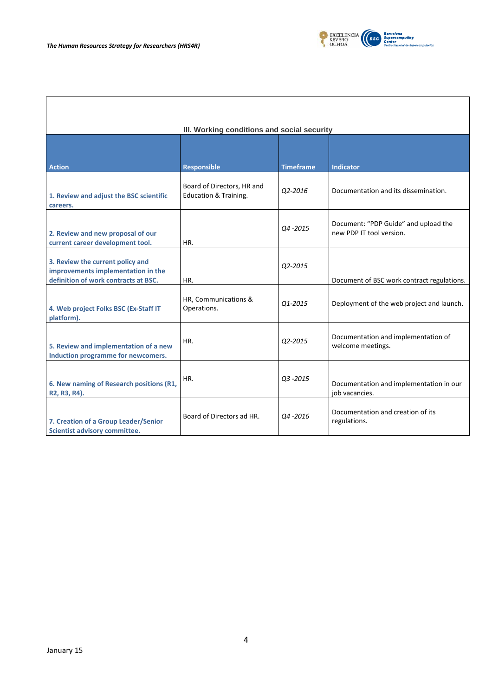

| III. Working conditions and social security                                                                    |                                                                |                  |                                                                  |  |  |  |
|----------------------------------------------------------------------------------------------------------------|----------------------------------------------------------------|------------------|------------------------------------------------------------------|--|--|--|
| <b>Action</b>                                                                                                  | <b>Responsible</b>                                             | <b>Timeframe</b> | <b>Indicator</b>                                                 |  |  |  |
| 1. Review and adjust the BSC scientific<br>careers.                                                            | Board of Directors, HR and<br><b>Education &amp; Training.</b> | Q2-2016          | Documentation and its dissemination.                             |  |  |  |
| 2. Review and new proposal of our<br>current career development tool.                                          | HR.                                                            | Q4-2015          | Document: "PDP Guide" and upload the<br>new PDP IT tool version. |  |  |  |
| 3. Review the current policy and<br>improvements implementation in the<br>definition of work contracts at BSC. | HR.                                                            | Q2-2015          | Document of BSC work contract regulations.                       |  |  |  |
| 4. Web project Folks BSC (Ex-Staff IT<br>platform).                                                            | HR, Communications &<br>Operations.                            | Q1-2015          | Deployment of the web project and launch.                        |  |  |  |
| 5. Review and implementation of a new<br>Induction programme for newcomers.                                    | HR.                                                            | Q2-2015          | Documentation and implementation of<br>welcome meetings.         |  |  |  |
| 6. New naming of Research positions (R1,<br>R2, R3, R4).                                                       | HR.                                                            | $Q3 - 2015$      | Documentation and implementation in our<br>job vacancies.        |  |  |  |
| 7. Creation of a Group Leader/Senior<br><b>Scientist advisory committee.</b>                                   | Board of Directors ad HR.                                      | 04 - 2016        | Documentation and creation of its<br>regulations.                |  |  |  |